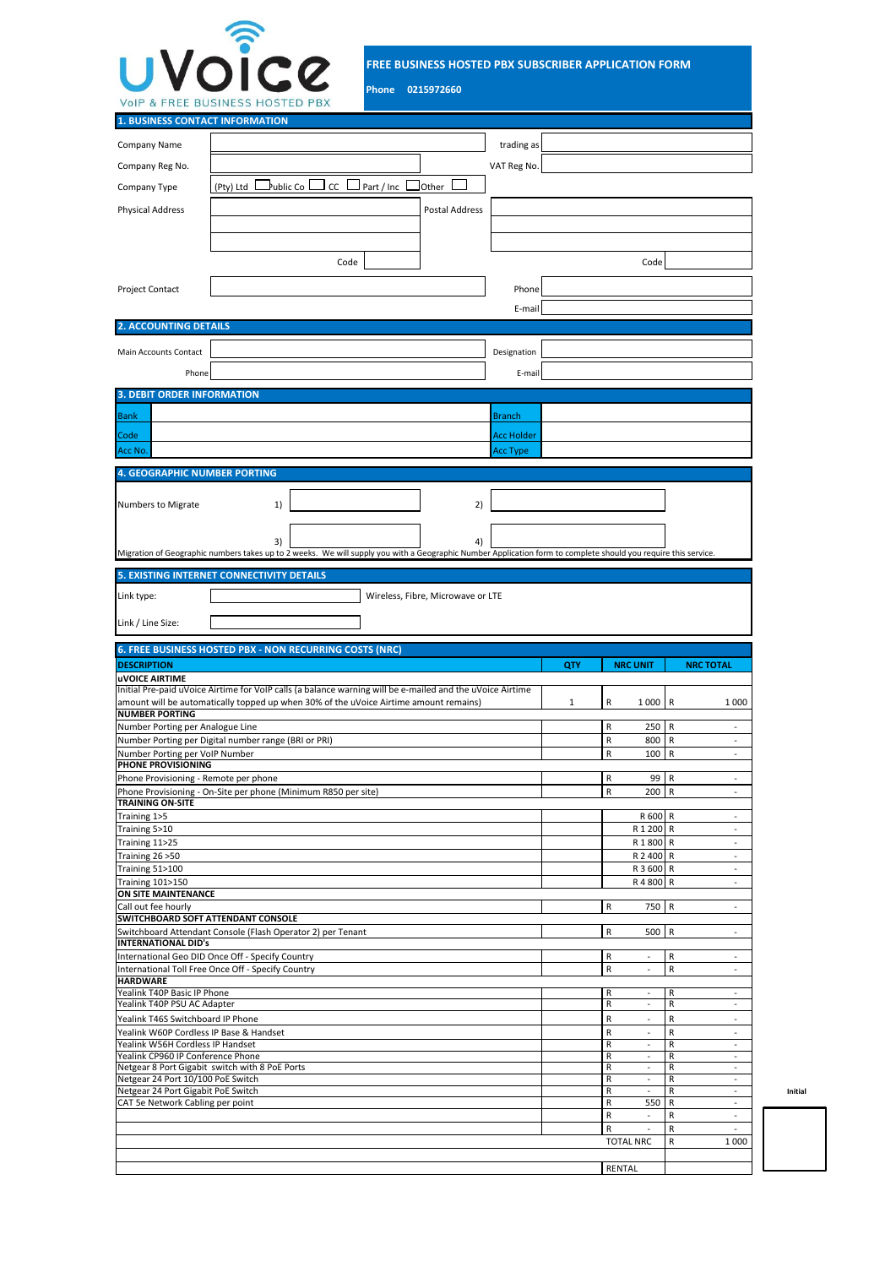

**FREE BUSINESS HOSTED PBX SUBSCRIBER APPLICATION FORM**

**Phone 0215972660**

| <b>1. BUSINESS CONTACT INFORMATION</b>                                      |                                                                                                                                                                |                   |     |                                                      |                                                  |
|-----------------------------------------------------------------------------|----------------------------------------------------------------------------------------------------------------------------------------------------------------|-------------------|-----|------------------------------------------------------|--------------------------------------------------|
| Company Name                                                                |                                                                                                                                                                | trading as        |     |                                                      |                                                  |
|                                                                             |                                                                                                                                                                |                   |     |                                                      |                                                  |
| Company Reg No.                                                             |                                                                                                                                                                | VAT Reg No.       |     |                                                      |                                                  |
| Company Type                                                                | ⊿ublic Co⊥<br>$\Box$ CC $\Box$ Part / Inc  <br>Other<br>(Pty) Ltd                                                                                              |                   |     |                                                      |                                                  |
| <b>Physical Address</b>                                                     | Postal Address                                                                                                                                                 |                   |     |                                                      |                                                  |
|                                                                             |                                                                                                                                                                |                   |     |                                                      |                                                  |
|                                                                             |                                                                                                                                                                |                   |     |                                                      |                                                  |
|                                                                             | Code                                                                                                                                                           |                   |     | Code                                                 |                                                  |
|                                                                             |                                                                                                                                                                |                   |     |                                                      |                                                  |
| Project Contact                                                             |                                                                                                                                                                | Phone             |     |                                                      |                                                  |
|                                                                             |                                                                                                                                                                | E-mail            |     |                                                      |                                                  |
| <b>2. ACCOUNTING DETAILS</b>                                                |                                                                                                                                                                |                   |     |                                                      |                                                  |
| Main Accounts Contact                                                       |                                                                                                                                                                | Designation       |     |                                                      |                                                  |
|                                                                             |                                                                                                                                                                |                   |     |                                                      |                                                  |
| Phone                                                                       |                                                                                                                                                                | E-mail            |     |                                                      |                                                  |
| <b>3. DEBIT ORDER INFORMATION</b>                                           |                                                                                                                                                                |                   |     |                                                      |                                                  |
| <b>Bank</b>                                                                 |                                                                                                                                                                | Branch            |     |                                                      |                                                  |
| Code                                                                        |                                                                                                                                                                | <b>Acc Holder</b> |     |                                                      |                                                  |
| Acc No.                                                                     |                                                                                                                                                                | <b>Acc Type</b>   |     |                                                      |                                                  |
| <b>4. GEOGRAPHIC NUMBER PORTING</b>                                         |                                                                                                                                                                |                   |     |                                                      |                                                  |
|                                                                             |                                                                                                                                                                |                   |     |                                                      |                                                  |
| Numbers to Migrate                                                          | 2)<br>1)                                                                                                                                                       |                   |     |                                                      |                                                  |
|                                                                             |                                                                                                                                                                |                   |     |                                                      |                                                  |
|                                                                             | 3)<br>4)                                                                                                                                                       |                   |     |                                                      |                                                  |
|                                                                             | Migration of Geographic numbers takes up to 2 weeks. We will supply you with a Geographic Number Application form to complete should you require this service. |                   |     |                                                      |                                                  |
|                                                                             | <b>5. EXISTING INTERNET CONNECTIVITY DETAILS</b>                                                                                                               |                   |     |                                                      |                                                  |
| Link type:                                                                  | Wireless, Fibre, Microwave or LTE                                                                                                                              |                   |     |                                                      |                                                  |
|                                                                             |                                                                                                                                                                |                   |     |                                                      |                                                  |
| Link / Line Size:                                                           |                                                                                                                                                                |                   |     |                                                      |                                                  |
|                                                                             | 6. FREE BUSINESS HOSTED PBX - NON RECURRING COSTS (NRC)                                                                                                        |                   |     |                                                      |                                                  |
|                                                                             |                                                                                                                                                                |                   |     |                                                      |                                                  |
|                                                                             |                                                                                                                                                                |                   |     |                                                      |                                                  |
| <b>DESCRIPTION</b><br><b>UVOICE AIRTIME</b>                                 |                                                                                                                                                                |                   | QTY | <b>NRC UNIT</b>                                      | <b>NRC TOTAL</b>                                 |
|                                                                             | Initial Pre-paid uVoice Airtime for VoIP calls (a balance warning will be e-mailed and the uVoice Airtime                                                      |                   |     |                                                      |                                                  |
| <b>NUMBER PORTING</b>                                                       | amount will be automatically topped up when 30% of the uVoice Airtime amount remains)                                                                          |                   | 1   | 1000<br>R                                            | R<br>1000                                        |
| Number Porting per Analogue Line                                            |                                                                                                                                                                |                   |     | R<br>250                                             | R                                                |
|                                                                             | Number Porting per Digital number range (BRI or PRI)                                                                                                           |                   |     | R<br>800                                             | R<br>$\sim$                                      |
| Number Porting per VoIP Number<br>PHONE PROVISIONING                        |                                                                                                                                                                |                   |     | R<br>100                                             | R                                                |
| Phone Provisioning - Remote per phone                                       |                                                                                                                                                                |                   |     | R<br>99                                              | R                                                |
|                                                                             | Phone Provisioning - On-Site per phone (Minimum R850 per site)                                                                                                 |                   |     | R<br>200 R                                           |                                                  |
| <b>TRAINING ON-SITE</b><br>Training 1>5                                     |                                                                                                                                                                |                   |     | R 600 R                                              | $\tilde{\phantom{a}}$                            |
| Training 5>10                                                               |                                                                                                                                                                |                   |     | R 1 200 R                                            | $\omega$                                         |
| Training 11>25                                                              |                                                                                                                                                                |                   |     | R1800 R                                              | $\sim$<br>$\sim$                                 |
| Training 26 > 50<br>Training 51>100                                         |                                                                                                                                                                |                   |     | R 2 400 R<br>R 3 600                                 | R<br>$\overline{\phantom{a}}$                    |
| <b>Training 101&gt;150</b>                                                  |                                                                                                                                                                |                   |     | R 4 800                                              | R<br>$\overline{\phantom{a}}$                    |
| ON SITE MAINTENANCE                                                         |                                                                                                                                                                |                   |     |                                                      | $\overline{\phantom{a}}$                         |
| Call out fee hourly<br>SWITCHBOARD SOFT ATTENDANT CONSOLE                   |                                                                                                                                                                |                   |     | R<br>750 R                                           |                                                  |
|                                                                             | Switchboard Attendant Console (Flash Operator 2) per Tenant                                                                                                    |                   |     | $\mathsf R$<br>500                                   | $\vert R$<br>$\overline{\phantom{a}}$            |
| <b>INTERNATIONAL DID's</b>                                                  | International Geo DID Once Off - Specify Country                                                                                                               |                   |     | R<br>$\overline{\phantom{a}}$                        | R<br>$\blacksquare$                              |
|                                                                             | International Toll Free Once Off - Specify Country                                                                                                             |                   |     | R<br>ä,                                              | ${\sf R}$<br>$\blacksquare$                      |
| <b>HARDWARE</b><br>Yealink T40P Basic IP Phone                              |                                                                                                                                                                |                   |     | R<br>$\sim$                                          | R<br>$\blacksquare$                              |
| Yealink T40P PSU AC Adapter                                                 |                                                                                                                                                                |                   |     | R<br>$\overline{\phantom{a}}$                        | R<br>$\overline{\phantom{a}}$                    |
| Yealink T46S Switchboard IP Phone                                           |                                                                                                                                                                |                   |     | R<br>$\blacksquare$                                  | R<br>$\tilde{\phantom{a}}$                       |
| Yealink W60P Cordless IP Base & Handset<br>Yealink W56H Cordless IP Handset |                                                                                                                                                                |                   |     | R<br>$\ddot{\phantom{1}}$<br>R<br>$\blacksquare$     | R<br>$\ddot{\phantom{1}}$<br>R<br>$\blacksquare$ |
| Yealink CP960 IP Conference Phone                                           |                                                                                                                                                                |                   |     | R<br>$\blacksquare$                                  | R<br>$\blacksquare$                              |
| Netgear 24 Port 10/100 PoE Switch                                           | Netgear 8 Port Gigabit switch with 8 PoE Ports                                                                                                                 |                   |     | R<br>$\overline{\phantom{a}}$<br>R<br>$\overline{a}$ | R<br>$\overline{\phantom{a}}$<br>R               |
| Netgear 24 Port Gigabit PoE Switch                                          |                                                                                                                                                                |                   |     | R                                                    | R<br>$\overline{\phantom{a}}$                    |
| CAT 5e Network Cabling per point                                            |                                                                                                                                                                |                   |     | 550<br>R<br>R<br>$\sim$                              | R<br>$\ddot{\phantom{1}}$<br>R<br>$\sim$         |
|                                                                             |                                                                                                                                                                |                   |     | R<br>$\sim$                                          | R<br>$\sim$                                      |
|                                                                             |                                                                                                                                                                |                   |     | <b>TOTAL NRC</b>                                     | R<br>1000                                        |
|                                                                             |                                                                                                                                                                |                   |     | <b>RENTAL</b>                                        |                                                  |

R - R - **Initial**